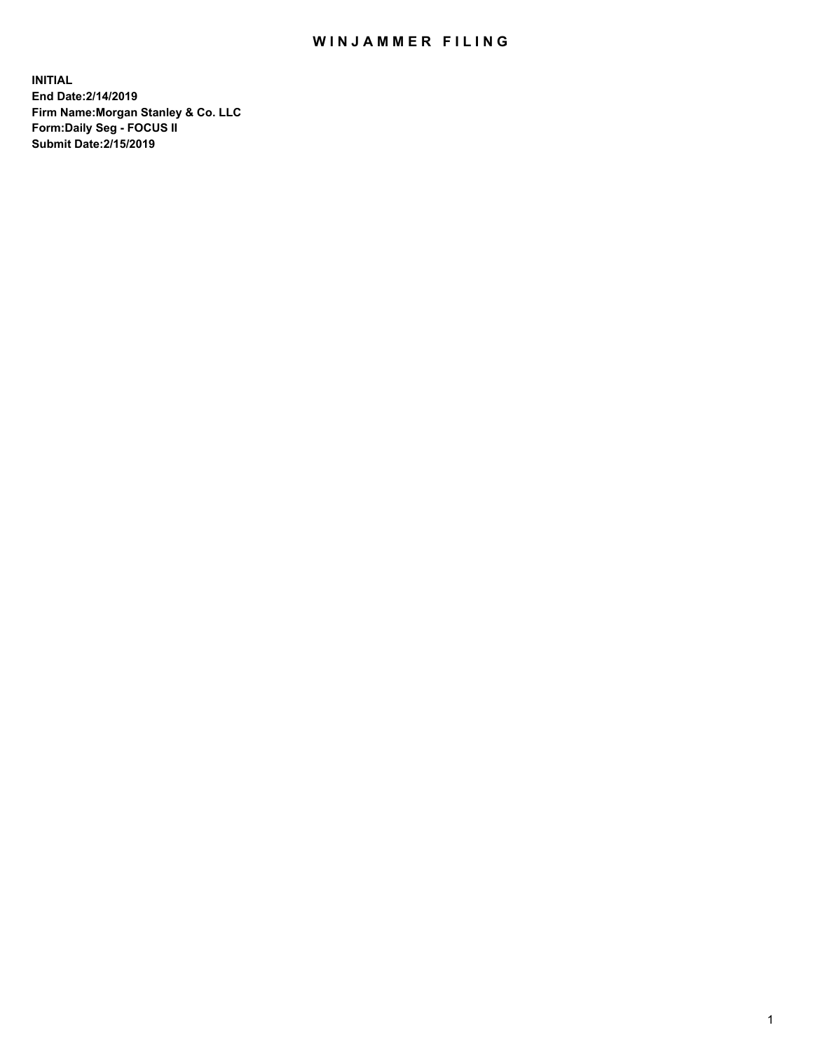## WIN JAMMER FILING

**INITIAL End Date:2/14/2019 Firm Name:Morgan Stanley & Co. LLC Form:Daily Seg - FOCUS II Submit Date:2/15/2019**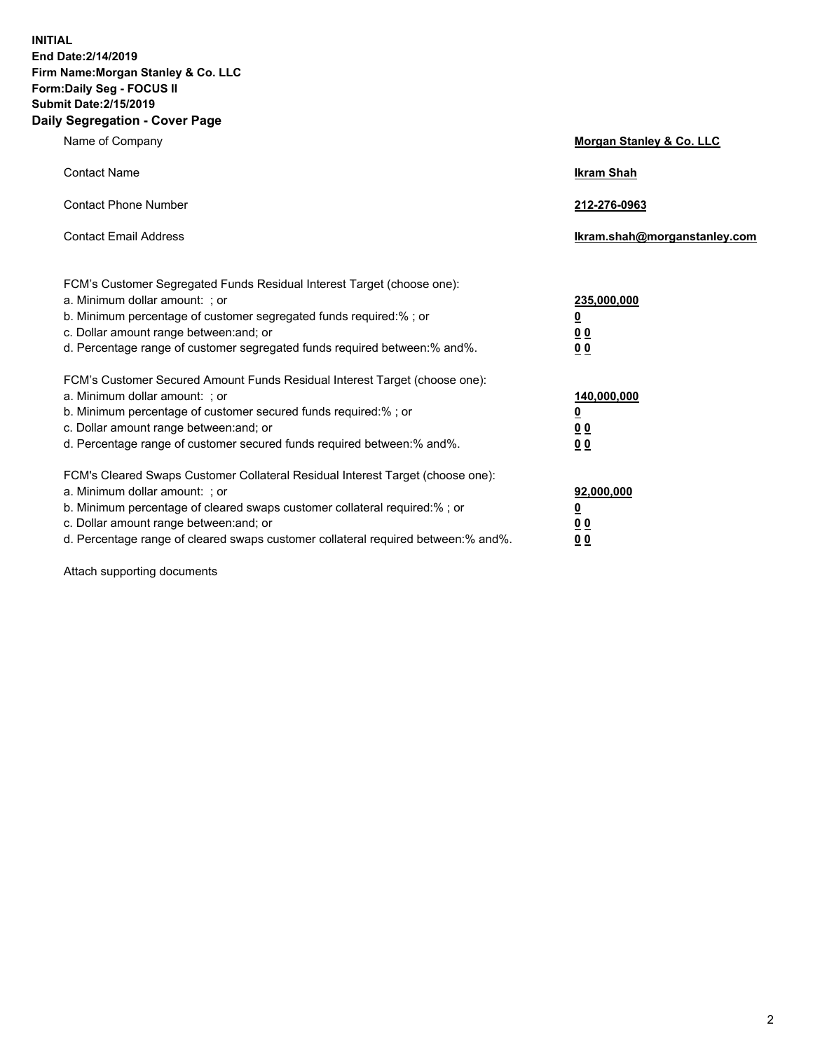**INITIAL End Date:2/14/2019 Firm Name:Morgan Stanley & Co. LLC Form:Daily Seg - FOCUS II Submit Date:2/15/2019 Daily Segregation - Cover Page**

| Name of Company                                                                   | Morgan Stanley & Co. LLC     |
|-----------------------------------------------------------------------------------|------------------------------|
| <b>Contact Name</b>                                                               | <b>Ikram Shah</b>            |
| <b>Contact Phone Number</b>                                                       | 212-276-0963                 |
| <b>Contact Email Address</b>                                                      | Ikram.shah@morganstanley.com |
| FCM's Customer Segregated Funds Residual Interest Target (choose one):            |                              |
| a. Minimum dollar amount: ; or                                                    | 235,000,000                  |
| b. Minimum percentage of customer segregated funds required:% ; or                | <u>0</u>                     |
| c. Dollar amount range between: and; or                                           | <u>0 0</u>                   |
| d. Percentage range of customer segregated funds required between: % and %.       | 00                           |
| FCM's Customer Secured Amount Funds Residual Interest Target (choose one):        |                              |
| a. Minimum dollar amount: ; or                                                    | 140,000,000                  |
| b. Minimum percentage of customer secured funds required:%; or                    | <u>0</u>                     |
| c. Dollar amount range between: and; or                                           | 0 <sub>0</sub>               |
| d. Percentage range of customer secured funds required between:% and%.            | 0 <sub>0</sub>               |
| FCM's Cleared Swaps Customer Collateral Residual Interest Target (choose one):    |                              |
| a. Minimum dollar amount: ; or                                                    | 92,000,000                   |
| b. Minimum percentage of cleared swaps customer collateral required:% ; or        | <u>0</u>                     |
| c. Dollar amount range between: and; or                                           | 0 Q                          |
| d. Percentage range of cleared swaps customer collateral required between:% and%. | 00                           |

Attach supporting documents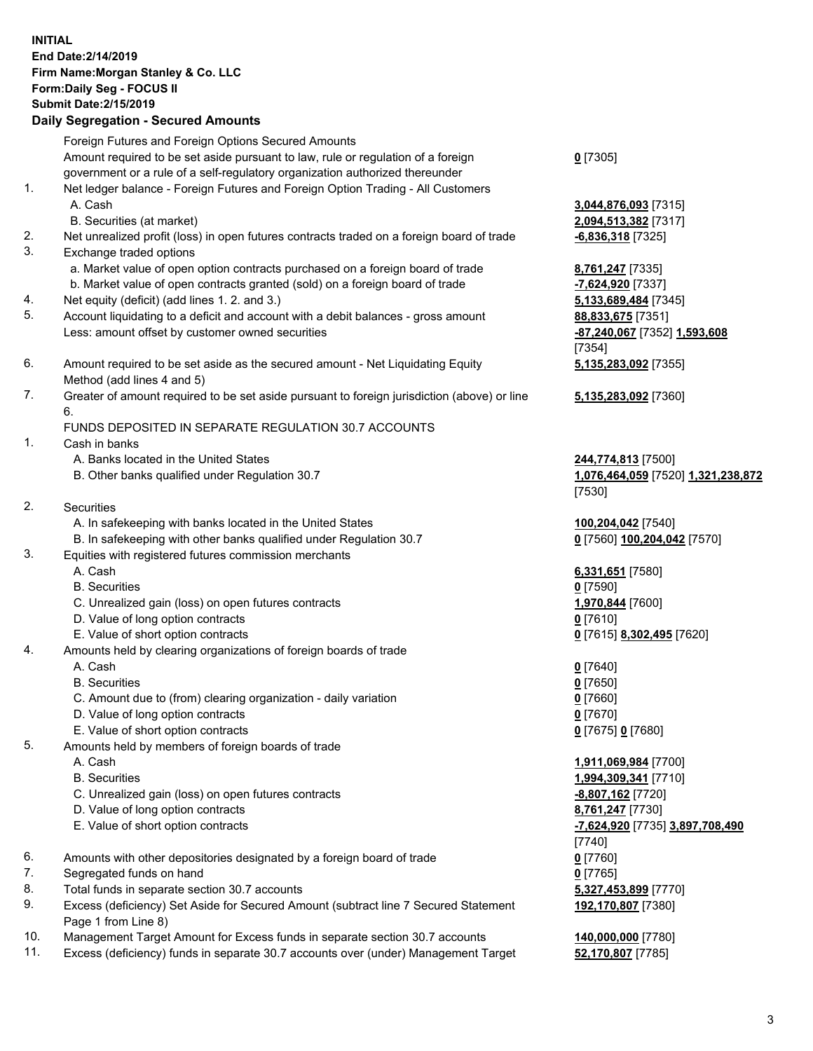## **INITIAL End Date:2/14/2019 Firm Name:Morgan Stanley & Co. LLC Form:Daily Seg - FOCUS II Submit Date:2/15/2019 Daily Segregation - Secured Amounts**

Foreign Futures and Foreign Options Secured Amounts Amount required to be set aside pursuant to law, rule or regulation of a foreign government or a rule of a self-regulatory organization authorized thereunder

- 1. Net ledger balance Foreign Futures and Foreign Option Trading All Customers A. Cash **3,044,876,093** [7315]
	- B. Securities (at market) **2,094,513,382** [7317]
- 2. Net unrealized profit (loss) in open futures contracts traded on a foreign board of trade **-6,836,318** [7325]
- 3. Exchange traded options
	- a. Market value of open option contracts purchased on a foreign board of trade **8,761,247** [7335]
	- b. Market value of open contracts granted (sold) on a foreign board of trade **-7,624,920** [7337]
- 4. Net equity (deficit) (add lines 1. 2. and 3.) **5,133,689,484** [7345]
- 5. Account liquidating to a deficit and account with a debit balances gross amount **88,833,675** [7351] Less: amount offset by customer owned securities **-87,240,067** [7352] **1,593,608**
- 6. Amount required to be set aside as the secured amount Net Liquidating Equity Method (add lines 4 and 5)
- 7. Greater of amount required to be set aside pursuant to foreign jurisdiction (above) or line 6.

## FUNDS DEPOSITED IN SEPARATE REGULATION 30.7 ACCOUNTS

- 1. Cash in banks
	- A. Banks located in the United States **244,774,813** [7500]
	- B. Other banks qualified under Regulation 30.7 **1,076,464,059** [7520] **1,321,238,872**
- 2. Securities
	- A. In safekeeping with banks located in the United States **100,204,042** [7540]
	- B. In safekeeping with other banks qualified under Regulation 30.7 **0** [7560] **100,204,042** [7570]
- 3. Equities with registered futures commission merchants
	-
	- B. Securities **0** [7590]
	- C. Unrealized gain (loss) on open futures contracts **1,970,844** [7600]
	- D. Value of long option contracts **0** [7610]
- E. Value of short option contracts **0** [7615] **8,302,495** [7620]
- 4. Amounts held by clearing organizations of foreign boards of trade
	- A. Cash **0** [7640]
	- B. Securities **0** [7650]
	- C. Amount due to (from) clearing organization daily variation **0** [7660]
	- D. Value of long option contracts **0** [7670]
	- E. Value of short option contracts **0** [7675] **0** [7680]
- 5. Amounts held by members of foreign boards of trade
	-
	-
	- C. Unrealized gain (loss) on open futures contracts **-8,807,162** [7720]
	- D. Value of long option contracts **8,761,247** [7730]
	- E. Value of short option contracts **-7,624,920** [7735] **3,897,708,490**
- 6. Amounts with other depositories designated by a foreign board of trade **0** [7760]
- 7. Segregated funds on hand **0** [7765]
- 8. Total funds in separate section 30.7 accounts **5,327,453,899** [7770]
- 9. Excess (deficiency) Set Aside for Secured Amount (subtract line 7 Secured Statement Page 1 from Line 8)
- 10. Management Target Amount for Excess funds in separate section 30.7 accounts **140,000,000** [7780]
- 11. Excess (deficiency) funds in separate 30.7 accounts over (under) Management Target **52,170,807** [7785]

**0** [7305]

[7354] **5,135,283,092** [7355]

**5,135,283,092** [7360]

[7530]

A. Cash **6,331,651** [7580]

 A. Cash **1,911,069,984** [7700] B. Securities **1,994,309,341** [7710] [7740] **192,170,807** [7380]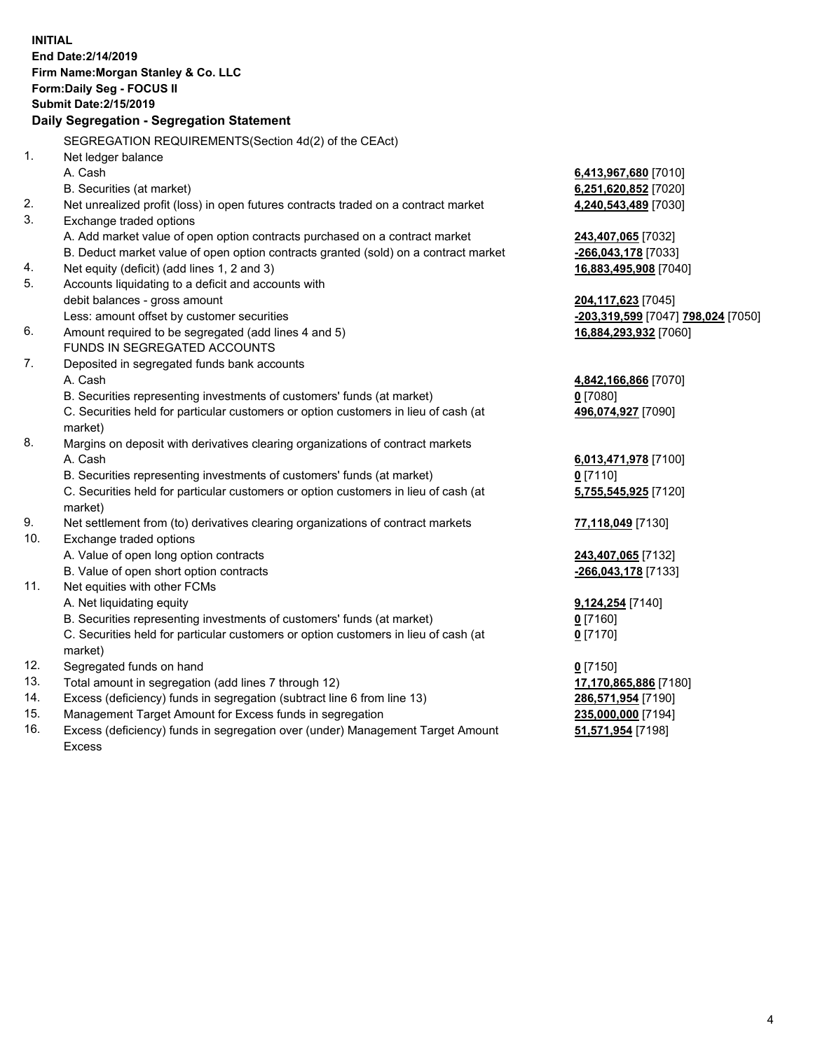**INITIAL End Date:2/14/2019 Firm Name:Morgan Stanley & Co. LLC Form:Daily Seg - FOCUS II Submit Date:2/15/2019 Daily Segregation - Segregation Statement** SEGREGATION REQUIREMENTS(Section 4d(2) of the CEAct) 1. Net ledger balance A. Cash **6,413,967,680** [7010] B. Securities (at market) **6,251,620,852** [7020] 2. Net unrealized profit (loss) in open futures contracts traded on a contract market **4,240,543,489** [7030] 3. Exchange traded options A. Add market value of open option contracts purchased on a contract market **243,407,065** [7032] B. Deduct market value of open option contracts granted (sold) on a contract market **-266,043,178** [7033] 4. Net equity (deficit) (add lines 1, 2 and 3) **16,883,495,908** [7040] 5. Accounts liquidating to a deficit and accounts with debit balances - gross amount **204,117,623** [7045] Less: amount offset by customer securities **-203,319,599** [7047] **798,024** [7050] 6. Amount required to be segregated (add lines 4 and 5) **16,884,293,932** [7060] FUNDS IN SEGREGATED ACCOUNTS 7. Deposited in segregated funds bank accounts A. Cash **4,842,166,866** [7070] B. Securities representing investments of customers' funds (at market) **0** [7080] C. Securities held for particular customers or option customers in lieu of cash (at market) **496,074,927** [7090] 8. Margins on deposit with derivatives clearing organizations of contract markets A. Cash **6,013,471,978** [7100] B. Securities representing investments of customers' funds (at market) **0** [7110] C. Securities held for particular customers or option customers in lieu of cash (at market) **5,755,545,925** [7120] 9. Net settlement from (to) derivatives clearing organizations of contract markets **77,118,049** [7130] 10. Exchange traded options A. Value of open long option contracts **243,407,065** [7132] B. Value of open short option contracts **-266,043,178** [7133] 11. Net equities with other FCMs A. Net liquidating equity **9,124,254** [7140] B. Securities representing investments of customers' funds (at market) **0** [7160] C. Securities held for particular customers or option customers in lieu of cash (at market) **0** [7170] 12. Segregated funds on hand **0** [7150] 13. Total amount in segregation (add lines 7 through 12) **17,170,865,886** [7180] 14. Excess (deficiency) funds in segregation (subtract line 6 from line 13) **286,571,954** [7190] 15. Management Target Amount for Excess funds in segregation **235,000,000** [7194] 16. Excess (deficiency) funds in segregation over (under) Management Target Amount **51,571,954** [7198]

Excess